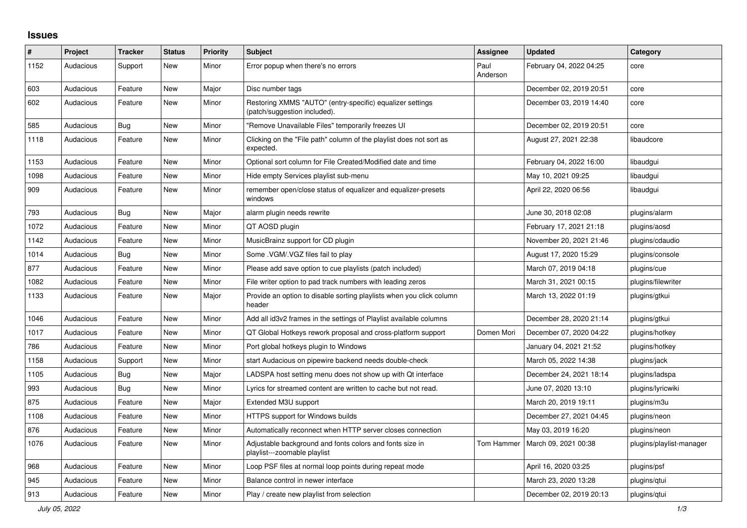## **Issues**

| $\#$ | Project   | <b>Tracker</b> | <b>Status</b> | <b>Priority</b> | <b>Subject</b>                                                                            | <b>Assignee</b>  | <b>Updated</b>          | Category                 |
|------|-----------|----------------|---------------|-----------------|-------------------------------------------------------------------------------------------|------------------|-------------------------|--------------------------|
| 1152 | Audacious | Support        | <b>New</b>    | Minor           | Error popup when there's no errors                                                        | Paul<br>Anderson | February 04, 2022 04:25 | core                     |
| 603  | Audacious | Feature        | <b>New</b>    | Major           | Disc number tags                                                                          |                  | December 02, 2019 20:51 | core                     |
| 602  | Audacious | Feature        | <b>New</b>    | Minor           | Restoring XMMS "AUTO" (entry-specific) equalizer settings<br>(patch/suggestion included). |                  | December 03, 2019 14:40 | core                     |
| 585  | Audacious | <b>Bug</b>     | <b>New</b>    | Minor           | "Remove Unavailable Files" temporarily freezes UI                                         |                  | December 02, 2019 20:51 | core                     |
| 1118 | Audacious | Feature        | <b>New</b>    | Minor           | Clicking on the "File path" column of the playlist does not sort as<br>expected.          |                  | August 27, 2021 22:38   | libaudcore               |
| 1153 | Audacious | Feature        | <b>New</b>    | Minor           | Optional sort column for File Created/Modified date and time                              |                  | February 04, 2022 16:00 | libaudgui                |
| 1098 | Audacious | Feature        | <b>New</b>    | Minor           | Hide empty Services playlist sub-menu                                                     |                  | May 10, 2021 09:25      | libaudgui                |
| 909  | Audacious | Feature        | <b>New</b>    | Minor           | remember open/close status of equalizer and equalizer-presets<br>windows                  |                  | April 22, 2020 06:56    | libaudgui                |
| 793  | Audacious | <b>Bug</b>     | <b>New</b>    | Major           | alarm plugin needs rewrite                                                                |                  | June 30, 2018 02:08     | plugins/alarm            |
| 1072 | Audacious | Feature        | <b>New</b>    | Minor           | QT AOSD plugin                                                                            |                  | February 17, 2021 21:18 | plugins/aosd             |
| 1142 | Audacious | Feature        | <b>New</b>    | Minor           | MusicBrainz support for CD plugin                                                         |                  | November 20, 2021 21:46 | plugins/cdaudio          |
| 1014 | Audacious | <b>Bug</b>     | <b>New</b>    | Minor           | Some .VGM/.VGZ files fail to play                                                         |                  | August 17, 2020 15:29   | plugins/console          |
| 877  | Audacious | Feature        | <b>New</b>    | Minor           | Please add save option to cue playlists (patch included)                                  |                  | March 07, 2019 04:18    | plugins/cue              |
| 1082 | Audacious | Feature        | <b>New</b>    | Minor           | File writer option to pad track numbers with leading zeros                                |                  | March 31, 2021 00:15    | plugins/filewriter       |
| 1133 | Audacious | Feature        | New           | Major           | Provide an option to disable sorting playlists when you click column<br>header            |                  | March 13, 2022 01:19    | plugins/gtkui            |
| 1046 | Audacious | Feature        | <b>New</b>    | Minor           | Add all id3v2 frames in the settings of Playlist available columns                        |                  | December 28, 2020 21:14 | plugins/gtkui            |
| 1017 | Audacious | Feature        | New           | Minor           | QT Global Hotkeys rework proposal and cross-platform support                              | Domen Mori       | December 07, 2020 04:22 | plugins/hotkey           |
| 786  | Audacious | Feature        | <b>New</b>    | Minor           | Port global hotkeys plugin to Windows                                                     |                  | January 04, 2021 21:52  | plugins/hotkey           |
| 1158 | Audacious | Support        | <b>New</b>    | Minor           | start Audacious on pipewire backend needs double-check                                    |                  | March 05, 2022 14:38    | plugins/jack             |
| 1105 | Audacious | <b>Bug</b>     | <b>New</b>    | Major           | LADSPA host setting menu does not show up with Qt interface                               |                  | December 24, 2021 18:14 | plugins/ladspa           |
| 993  | Audacious | <b>Bug</b>     | <b>New</b>    | Minor           | Lyrics for streamed content are written to cache but not read.                            |                  | June 07, 2020 13:10     | plugins/lyricwiki        |
| 875  | Audacious | Feature        | <b>New</b>    | Major           | Extended M3U support                                                                      |                  | March 20, 2019 19:11    | plugins/m3u              |
| 1108 | Audacious | Feature        | New           | Minor           | HTTPS support for Windows builds                                                          |                  | December 27, 2021 04:45 | plugins/neon             |
| 876  | Audacious | Feature        | <b>New</b>    | Minor           | Automatically reconnect when HTTP server closes connection                                |                  | May 03, 2019 16:20      | plugins/neon             |
| 1076 | Audacious | Feature        | <b>New</b>    | Minor           | Adjustable background and fonts colors and fonts size in<br>playlist---zoomable playlist  | Tom Hammer       | March 09, 2021 00:38    | plugins/playlist-manager |
| 968  | Audacious | Feature        | New           | Minor           | Loop PSF files at normal loop points during repeat mode                                   |                  | April 16, 2020 03:25    | plugins/psf              |
| 945  | Audacious | Feature        | <b>New</b>    | Minor           | Balance control in newer interface                                                        |                  | March 23, 2020 13:28    | plugins/gtui             |
| 913  | Audacious | Feature        | <b>New</b>    | Minor           | Play / create new playlist from selection                                                 |                  | December 02, 2019 20:13 | plugins/qtui             |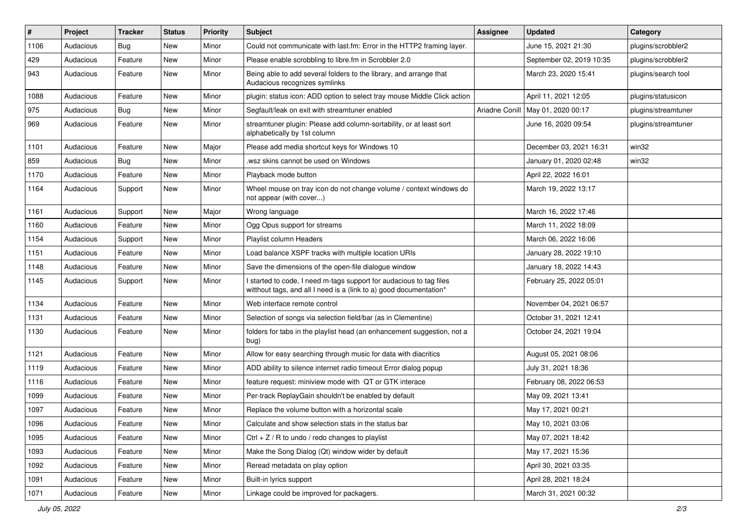| #    | Project   | <b>Tracker</b> | <b>Status</b> | <b>Priority</b> | Subject                                                                                                                                   | <b>Assignee</b> | <b>Updated</b>           | Category            |
|------|-----------|----------------|---------------|-----------------|-------------------------------------------------------------------------------------------------------------------------------------------|-----------------|--------------------------|---------------------|
| 1106 | Audacious | Bug            | New           | Minor           | Could not communicate with last.fm: Error in the HTTP2 framing layer.                                                                     |                 | June 15, 2021 21:30      | plugins/scrobbler2  |
| 429  | Audacious | Feature        | <b>New</b>    | Minor           | Please enable scrobbling to libre.fm in Scrobbler 2.0                                                                                     |                 | September 02, 2019 10:35 | plugins/scrobbler2  |
| 943  | Audacious | Feature        | <b>New</b>    | Minor           | Being able to add several folders to the library, and arrange that<br>Audacious recognizes symlinks                                       |                 | March 23, 2020 15:41     | plugins/search tool |
| 1088 | Audacious | Feature        | New           | Minor           | plugin: status icon: ADD option to select tray mouse Middle Click action                                                                  |                 | April 11, 2021 12:05     | plugins/statusicon  |
| 975  | Audacious | Bug            | New           | Minor           | Segfault/leak on exit with streamtuner enabled                                                                                            | Ariadne Conill  | May 01, 2020 00:17       | plugins/streamtuner |
| 969  | Audacious | Feature        | New           | Minor           | streamtuner plugin: Please add column-sortability, or at least sort<br>alphabetically by 1st column                                       |                 | June 16, 2020 09:54      | plugins/streamtuner |
| 1101 | Audacious | Feature        | New           | Major           | Please add media shortcut keys for Windows 10                                                                                             |                 | December 03, 2021 16:31  | win32               |
| 859  | Audacious | <b>Bug</b>     | New           | Minor           | .wsz skins cannot be used on Windows                                                                                                      |                 | January 01, 2020 02:48   | win32               |
| 1170 | Audacious | Feature        | New           | Minor           | Playback mode button                                                                                                                      |                 | April 22, 2022 16:01     |                     |
| 1164 | Audacious | Support        | New           | Minor           | Wheel mouse on tray icon do not change volume / context windows do<br>not appear (with cover)                                             |                 | March 19, 2022 13:17     |                     |
| 1161 | Audacious | Support        | New           | Major           | Wrong language                                                                                                                            |                 | March 16, 2022 17:46     |                     |
| 1160 | Audacious | Feature        | New           | Minor           | Ogg Opus support for streams                                                                                                              |                 | March 11, 2022 18:09     |                     |
| 1154 | Audacious | Support        | New           | Minor           | Playlist column Headers                                                                                                                   |                 | March 06, 2022 16:06     |                     |
| 1151 | Audacious | Feature        | New           | Minor           | Load balance XSPF tracks with multiple location URIs                                                                                      |                 | January 28, 2022 19:10   |                     |
| 1148 | Audacious | Feature        | New           | Minor           | Save the dimensions of the open-file dialogue window                                                                                      |                 | January 18, 2022 14:43   |                     |
| 1145 | Audacious | Support        | New           | Minor           | I started to code, I need m-tags support for audacious to tag files<br>witthout tags, and all I need is a (link to a) good documentation* |                 | February 25, 2022 05:01  |                     |
| 1134 | Audacious | Feature        | New           | Minor           | Web interface remote control                                                                                                              |                 | November 04, 2021 06:57  |                     |
| 1131 | Audacious | Feature        | New           | Minor           | Selection of songs via selection field/bar (as in Clementine)                                                                             |                 | October 31, 2021 12:41   |                     |
| 1130 | Audacious | Feature        | <b>New</b>    | Minor           | folders for tabs in the playlist head (an enhancement suggestion, not a<br>bug)                                                           |                 | October 24, 2021 19:04   |                     |
| 1121 | Audacious | Feature        | New           | Minor           | Allow for easy searching through music for data with diacritics                                                                           |                 | August 05, 2021 08:06    |                     |
| 1119 | Audacious | Feature        | New           | Minor           | ADD ability to silence internet radio timeout Error dialog popup                                                                          |                 | July 31, 2021 18:36      |                     |
| 1116 | Audacious | Feature        | New           | Minor           | feature request: miniview mode with QT or GTK interace                                                                                    |                 | February 08, 2022 06:53  |                     |
| 1099 | Audacious | Feature        | New           | Minor           | Per-track ReplayGain shouldn't be enabled by default                                                                                      |                 | May 09, 2021 13:41       |                     |
| 1097 | Audacious | Feature        | New           | Minor           | Replace the volume button with a horizontal scale                                                                                         |                 | May 17, 2021 00:21       |                     |
| 1096 | Audacious | Feature        | New           | Minor           | Calculate and show selection stats in the status bar                                                                                      |                 | May 10, 2021 03:06       |                     |
| 1095 | Audacious | Feature        | New           | Minor           | Ctrl + $Z$ / R to undo / redo changes to playlist                                                                                         |                 | May 07, 2021 18:42       |                     |
| 1093 | Audacious | Feature        | New           | Minor           | Make the Song Dialog (Qt) window wider by default                                                                                         |                 | May 17, 2021 15:36       |                     |
| 1092 | Audacious | Feature        | New           | Minor           | Reread metadata on play option                                                                                                            |                 | April 30, 2021 03:35     |                     |
| 1091 | Audacious | Feature        | New           | Minor           | Built-in lyrics support                                                                                                                   |                 | April 28, 2021 18:24     |                     |
| 1071 | Audacious | Feature        | New           | Minor           | Linkage could be improved for packagers.                                                                                                  |                 | March 31, 2021 00:32     |                     |